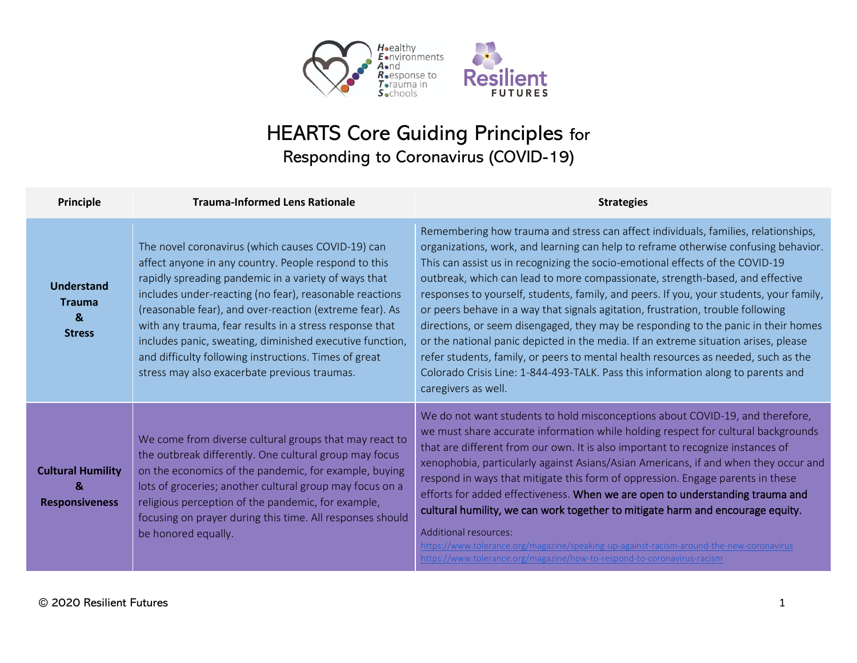

## HEARTS Core Guiding Principles for Responding to Coronavirus (COVID-19)

| Principle                                                    | <b>Trauma-Informed Lens Rationale</b>                                                                                                                                                                                                                                                                                                                                                                                                                                                                                   | <b>Strategies</b>                                                                                                                                                                                                                                                                                                                                                                                                                                                                                                                                                                                                                                                                                                                                                                                                                                                                                       |
|--------------------------------------------------------------|-------------------------------------------------------------------------------------------------------------------------------------------------------------------------------------------------------------------------------------------------------------------------------------------------------------------------------------------------------------------------------------------------------------------------------------------------------------------------------------------------------------------------|---------------------------------------------------------------------------------------------------------------------------------------------------------------------------------------------------------------------------------------------------------------------------------------------------------------------------------------------------------------------------------------------------------------------------------------------------------------------------------------------------------------------------------------------------------------------------------------------------------------------------------------------------------------------------------------------------------------------------------------------------------------------------------------------------------------------------------------------------------------------------------------------------------|
| Understand<br><b>Trauma</b><br>$\mathbf{g}$<br><b>Stress</b> | The novel coronavirus (which causes COVID-19) can<br>affect anyone in any country. People respond to this<br>rapidly spreading pandemic in a variety of ways that<br>includes under-reacting (no fear), reasonable reactions<br>(reasonable fear), and over-reaction (extreme fear). As<br>with any trauma, fear results in a stress response that<br>includes panic, sweating, diminished executive function,<br>and difficulty following instructions. Times of great<br>stress may also exacerbate previous traumas. | Remembering how trauma and stress can affect individuals, families, relationships,<br>organizations, work, and learning can help to reframe otherwise confusing behavior.<br>This can assist us in recognizing the socio-emotional effects of the COVID-19<br>outbreak, which can lead to more compassionate, strength-based, and effective<br>responses to yourself, students, family, and peers. If you, your students, your family,<br>or peers behave in a way that signals agitation, frustration, trouble following<br>directions, or seem disengaged, they may be responding to the panic in their homes<br>or the national panic depicted in the media. If an extreme situation arises, please<br>refer students, family, or peers to mental health resources as needed, such as the<br>Colorado Crisis Line: 1-844-493-TALK. Pass this information along to parents and<br>caregivers as well. |
| <b>Cultural Humility</b><br>&<br><b>Responsiveness</b>       | We come from diverse cultural groups that may react to<br>the outbreak differently. One cultural group may focus<br>on the economics of the pandemic, for example, buying<br>lots of groceries; another cultural group may focus on a<br>religious perception of the pandemic, for example,<br>focusing on prayer during this time. All responses should<br>be honored equally.                                                                                                                                         | We do not want students to hold misconceptions about COVID-19, and therefore,<br>we must share accurate information while holding respect for cultural backgrounds<br>that are different from our own. It is also important to recognize instances of<br>xenophobia, particularly against Asians/Asian Americans, if and when they occur and<br>respond in ways that mitigate this form of oppression. Engage parents in these<br>efforts for added effectiveness. When we are open to understanding trauma and<br>cultural humility, we can work together to mitigate harm and encourage equity.<br>Additional resources:<br>https://www.tolerance.org/magazine/speaking-up-against-racism-around-the-new-coronavirus<br>https://www.tolerance.org/magazine/how-to-respond-to-coronavirus-racism                                                                                                       |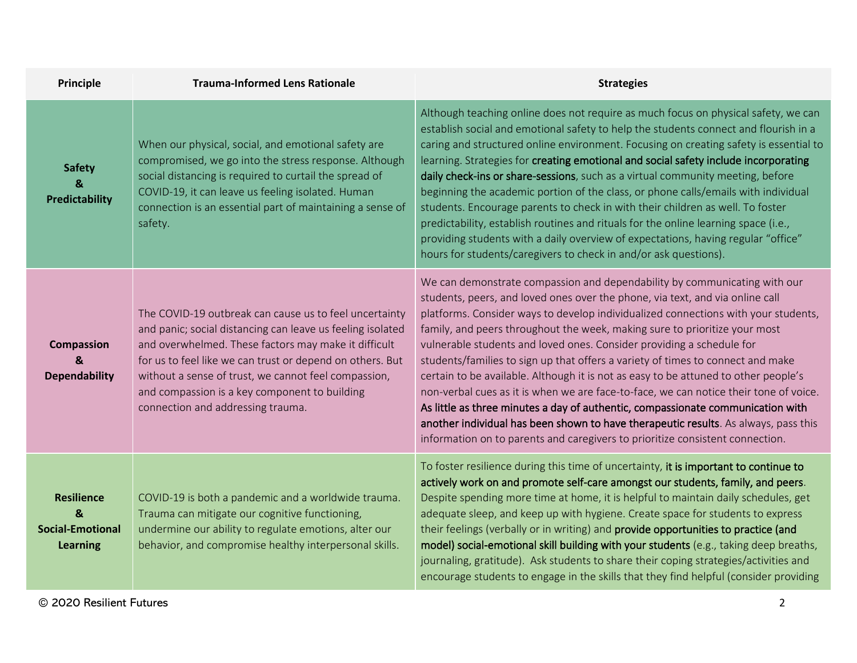| <b>Principle</b>                                                     | <b>Trauma-Informed Lens Rationale</b>                                                                                                                                                                                                                                                                                                                                                   | <b>Strategies</b>                                                                                                                                                                                                                                                                                                                                                                                                                                                                                                                                                                                                                                                                                                                                                                                                                                                                                                                     |
|----------------------------------------------------------------------|-----------------------------------------------------------------------------------------------------------------------------------------------------------------------------------------------------------------------------------------------------------------------------------------------------------------------------------------------------------------------------------------|---------------------------------------------------------------------------------------------------------------------------------------------------------------------------------------------------------------------------------------------------------------------------------------------------------------------------------------------------------------------------------------------------------------------------------------------------------------------------------------------------------------------------------------------------------------------------------------------------------------------------------------------------------------------------------------------------------------------------------------------------------------------------------------------------------------------------------------------------------------------------------------------------------------------------------------|
| <b>Safety</b><br>&<br>Predictability                                 | When our physical, social, and emotional safety are<br>compromised, we go into the stress response. Although<br>social distancing is required to curtail the spread of<br>COVID-19, it can leave us feeling isolated. Human<br>connection is an essential part of maintaining a sense of<br>safety.                                                                                     | Although teaching online does not require as much focus on physical safety, we can<br>establish social and emotional safety to help the students connect and flourish in a<br>caring and structured online environment. Focusing on creating safety is essential to<br>learning. Strategies for creating emotional and social safety include incorporating<br>daily check-ins or share-sessions, such as a virtual community meeting, before<br>beginning the academic portion of the class, or phone calls/emails with individual<br>students. Encourage parents to check in with their children as well. To foster<br>predictability, establish routines and rituals for the online learning space (i.e.,<br>providing students with a daily overview of expectations, having regular "office"<br>hours for students/caregivers to check in and/or ask questions).                                                                  |
| <b>Compassion</b><br>&<br><b>Dependability</b>                       | The COVID-19 outbreak can cause us to feel uncertainty<br>and panic; social distancing can leave us feeling isolated<br>and overwhelmed. These factors may make it difficult<br>for us to feel like we can trust or depend on others. But<br>without a sense of trust, we cannot feel compassion,<br>and compassion is a key component to building<br>connection and addressing trauma. | We can demonstrate compassion and dependability by communicating with our<br>students, peers, and loved ones over the phone, via text, and via online call<br>platforms. Consider ways to develop individualized connections with your students,<br>family, and peers throughout the week, making sure to prioritize your most<br>vulnerable students and loved ones. Consider providing a schedule for<br>students/families to sign up that offers a variety of times to connect and make<br>certain to be available. Although it is not as easy to be attuned to other people's<br>non-verbal cues as it is when we are face-to-face, we can notice their tone of voice.<br>As little as three minutes a day of authentic, compassionate communication with<br>another individual has been shown to have therapeutic results. As always, pass this<br>information on to parents and caregivers to prioritize consistent connection. |
| <b>Resilience</b><br>&<br><b>Social-Emotional</b><br><b>Learning</b> | COVID-19 is both a pandemic and a worldwide trauma.<br>Trauma can mitigate our cognitive functioning,<br>undermine our ability to regulate emotions, alter our<br>behavior, and compromise healthy interpersonal skills.                                                                                                                                                                | To foster resilience during this time of uncertainty, it is important to continue to<br>actively work on and promote self-care amongst our students, family, and peers.<br>Despite spending more time at home, it is helpful to maintain daily schedules, get<br>adequate sleep, and keep up with hygiene. Create space for students to express<br>their feelings (verbally or in writing) and provide opportunities to practice (and<br>model) social-emotional skill building with your students (e.g., taking deep breaths,<br>journaling, gratitude). Ask students to share their coping strategies/activities and<br>encourage students to engage in the skills that they find helpful (consider providing                                                                                                                                                                                                                       |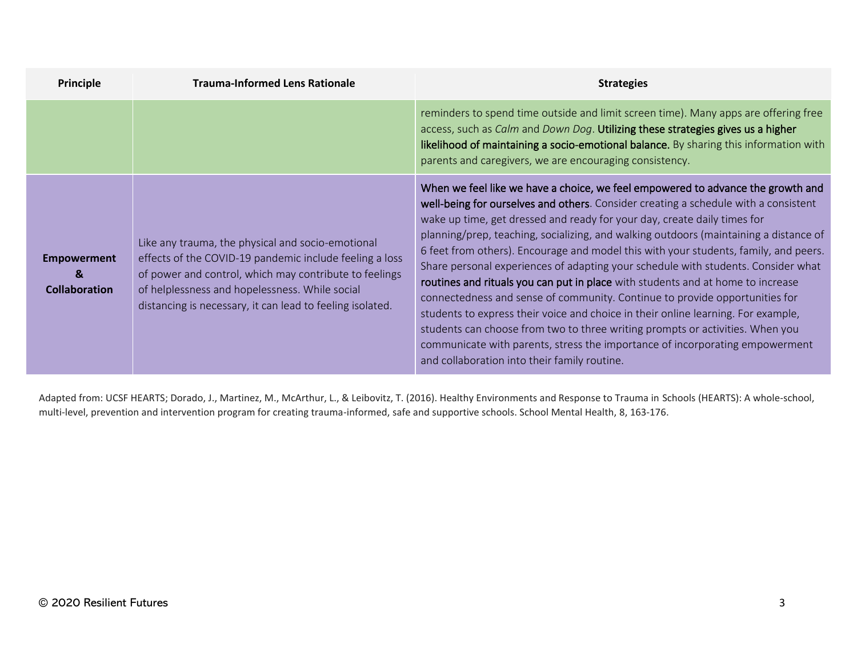| Principle                                                  | <b>Trauma-Informed Lens Rationale</b>                                                                                                                                                                                                                                                 | <b>Strategies</b>                                                                                                                                                                                                                                                                                                                                                                                                                                                                                                                                                                                                                                                                                                                                                                                                                                                                                                                                                                                |
|------------------------------------------------------------|---------------------------------------------------------------------------------------------------------------------------------------------------------------------------------------------------------------------------------------------------------------------------------------|--------------------------------------------------------------------------------------------------------------------------------------------------------------------------------------------------------------------------------------------------------------------------------------------------------------------------------------------------------------------------------------------------------------------------------------------------------------------------------------------------------------------------------------------------------------------------------------------------------------------------------------------------------------------------------------------------------------------------------------------------------------------------------------------------------------------------------------------------------------------------------------------------------------------------------------------------------------------------------------------------|
|                                                            |                                                                                                                                                                                                                                                                                       | reminders to spend time outside and limit screen time). Many apps are offering free<br>access, such as Calm and Down Dog. Utilizing these strategies gives us a higher<br>likelihood of maintaining a socio-emotional balance. By sharing this information with<br>parents and caregivers, we are encouraging consistency.                                                                                                                                                                                                                                                                                                                                                                                                                                                                                                                                                                                                                                                                       |
| <b>Empowerment</b><br>$\mathbf{g}$<br><b>Collaboration</b> | Like any trauma, the physical and socio-emotional<br>effects of the COVID-19 pandemic include feeling a loss<br>of power and control, which may contribute to feelings<br>of helplessness and hopelessness. While social<br>distancing is necessary, it can lead to feeling isolated. | When we feel like we have a choice, we feel empowered to advance the growth and<br>well-being for ourselves and others. Consider creating a schedule with a consistent<br>wake up time, get dressed and ready for your day, create daily times for<br>planning/prep, teaching, socializing, and walking outdoors (maintaining a distance of<br>6 feet from others). Encourage and model this with your students, family, and peers.<br>Share personal experiences of adapting your schedule with students. Consider what<br>routines and rituals you can put in place with students and at home to increase<br>connectedness and sense of community. Continue to provide opportunities for<br>students to express their voice and choice in their online learning. For example,<br>students can choose from two to three writing prompts or activities. When you<br>communicate with parents, stress the importance of incorporating empowerment<br>and collaboration into their family routine. |

Adapted from: UCSF HEARTS; Dorado, J., Martinez, M., McArthur, L., & Leibovitz, T. (2016). Healthy Environments and Response to Trauma in Schools (HEARTS): A whole-school, multi-level, prevention and intervention program for creating trauma-informed, safe and supportive schools. School Mental Health, 8, 163-176.